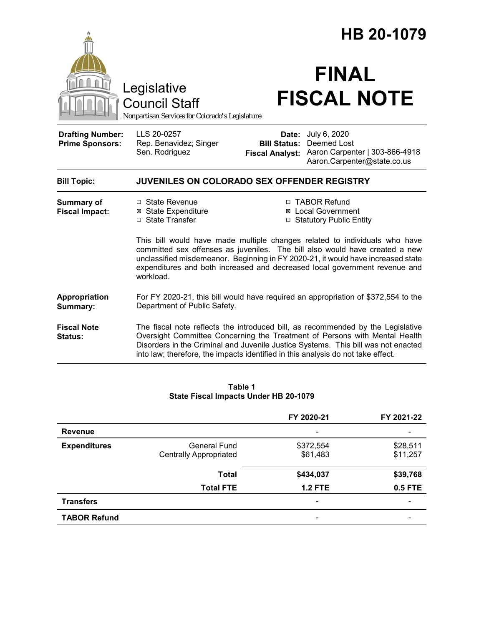|                                                                                                                                                                                                                                                                                                                                          |                                                                                                                    |                                                        | HB 20-1079                                                                                                                                                                                                                                         |  |
|------------------------------------------------------------------------------------------------------------------------------------------------------------------------------------------------------------------------------------------------------------------------------------------------------------------------------------------|--------------------------------------------------------------------------------------------------------------------|--------------------------------------------------------|----------------------------------------------------------------------------------------------------------------------------------------------------------------------------------------------------------------------------------------------------|--|
|                                                                                                                                                                                                                                                                                                                                          | Legislative<br><b>Council Staff</b><br>Nonpartisan Services for Colorado's Legislature                             |                                                        | <b>FINAL</b><br><b>FISCAL NOTE</b>                                                                                                                                                                                                                 |  |
| <b>Drafting Number:</b><br><b>Prime Sponsors:</b>                                                                                                                                                                                                                                                                                        | LLS 20-0257<br>Rep. Benavidez; Singer<br>Sen. Rodriguez                                                            | Date:<br><b>Bill Status:</b><br><b>Fiscal Analyst:</b> | July 6, 2020<br>Deemed Lost<br>Aaron Carpenter   303-866-4918<br>Aaron.Carpenter@state.co.us                                                                                                                                                       |  |
| <b>Bill Topic:</b>                                                                                                                                                                                                                                                                                                                       | JUVENILES ON COLORADO SEX OFFENDER REGISTRY                                                                        |                                                        |                                                                                                                                                                                                                                                    |  |
| <b>Summary of</b><br><b>Fiscal Impact:</b>                                                                                                                                                                                                                                                                                               | □ State Revenue<br><b>⊠ State Expenditure</b><br>□ State Transfer                                                  |                                                        | □ TABOR Refund<br><b>⊠</b> Local Government<br>□ Statutory Public Entity                                                                                                                                                                           |  |
| This bill would have made multiple changes related to individuals who have<br>committed sex offenses as juveniles. The bill also would have created a new<br>unclassified misdemeanor. Beginning in FY 2020-21, it would have increased state<br>expenditures and both increased and decreased local government revenue and<br>workload. |                                                                                                                    |                                                        |                                                                                                                                                                                                                                                    |  |
| Appropriation<br>Summary:                                                                                                                                                                                                                                                                                                                | For FY 2020-21, this bill would have required an appropriation of \$372,554 to the<br>Department of Public Safety. |                                                        |                                                                                                                                                                                                                                                    |  |
| <b>Fiscal Note</b><br>Status:                                                                                                                                                                                                                                                                                                            | into law; therefore, the impacts identified in this analysis do not take effect.                                   |                                                        | The fiscal note reflects the introduced bill, as recommended by the Legislative<br>Oversight Committee Concerning the Treatment of Persons with Mental Health<br>Disorders in the Criminal and Juvenile Justice Systems. This bill was not enacted |  |

#### **Table 1 State Fiscal Impacts Under HB 20-1079**

|                     |                               | FY 2020-21               | FY 2021-22 |
|---------------------|-------------------------------|--------------------------|------------|
| <b>Revenue</b>      |                               |                          |            |
| <b>Expenditures</b> | General Fund                  | \$372,554                | \$28,511   |
|                     | <b>Centrally Appropriated</b> | \$61,483                 | \$11,257   |
|                     | <b>Total</b>                  | \$434,037                | \$39,768   |
|                     | <b>Total FTE</b>              | <b>1.2 FTE</b>           | 0.5 FTE    |
| <b>Transfers</b>    |                               | $\overline{\phantom{a}}$ |            |
| <b>TABOR Refund</b> |                               | -                        |            |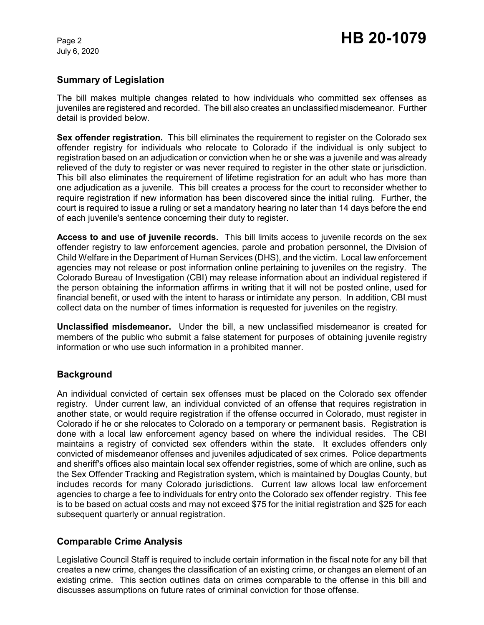## **Summary of Legislation**

The bill makes multiple changes related to how individuals who committed sex offenses as juveniles are registered and recorded. The bill also creates an unclassified misdemeanor. Further detail is provided below.

**Sex offender registration.** This bill eliminates the requirement to register on the Colorado sex offender registry for individuals who relocate to Colorado if the individual is only subject to registration based on an adjudication or conviction when he or she was a juvenile and was already relieved of the duty to register or was never required to register in the other state or jurisdiction. This bill also eliminates the requirement of lifetime registration for an adult who has more than one adjudication as a juvenile. This bill creates a process for the court to reconsider whether to require registration if new information has been discovered since the initial ruling. Further, the court is required to issue a ruling or set a mandatory hearing no later than 14 days before the end of each juvenile's sentence concerning their duty to register.

**Access to and use of juvenile records.** This bill limits access to juvenile records on the sex offender registry to law enforcement agencies, parole and probation personnel, the Division of Child Welfare in the Department of Human Services (DHS), and the victim. Local law enforcement agencies may not release or post information online pertaining to juveniles on the registry. The Colorado Bureau of Investigation (CBI) may release information about an individual registered if the person obtaining the information affirms in writing that it will not be posted online, used for financial benefit, or used with the intent to harass or intimidate any person. In addition, CBI must collect data on the number of times information is requested for juveniles on the registry.

**Unclassified misdemeanor.** Under the bill, a new unclassified misdemeanor is created for members of the public who submit a false statement for purposes of obtaining juvenile registry information or who use such information in a prohibited manner.

## **Background**

An individual convicted of certain sex offenses must be placed on the Colorado sex offender registry. Under current law, an individual convicted of an offense that requires registration in another state, or would require registration if the offense occurred in Colorado, must register in Colorado if he or she relocates to Colorado on a temporary or permanent basis. Registration is done with a local law enforcement agency based on where the individual resides. The CBI maintains a registry of convicted sex offenders within the state. It excludes offenders only convicted of misdemeanor offenses and juveniles adjudicated of sex crimes. Police departments and sheriff's offices also maintain local sex offender registries, some of which are online, such as the Sex Offender Tracking and Registration system, which is maintained by Douglas County, but includes records for many Colorado jurisdictions. Current law allows local law enforcement agencies to charge a fee to individuals for entry onto the Colorado sex offender registry. This fee is to be based on actual costs and may not exceed \$75 for the initial registration and \$25 for each subsequent quarterly or annual registration.

## **Comparable Crime Analysis**

Legislative Council Staff is required to include certain information in the fiscal note for any bill that creates a new crime, changes the classification of an existing crime, or changes an element of an existing crime. This section outlines data on crimes comparable to the offense in this bill and discusses assumptions on future rates of criminal conviction for those offense.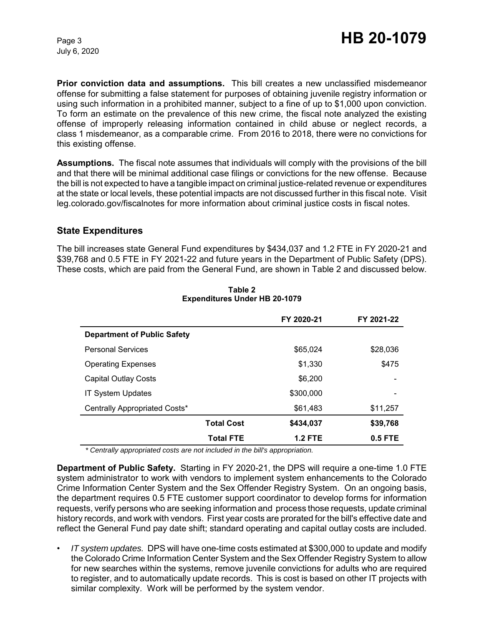**Prior conviction data and assumptions.** This bill creates a new unclassified misdemeanor offense for submitting a false statement for purposes of obtaining juvenile registry information or using such information in a prohibited manner, subject to a fine of up to \$1,000 upon conviction. To form an estimate on the prevalence of this new crime, the fiscal note analyzed the existing offense of improperly releasing information contained in child abuse or neglect records, a class 1 misdemeanor, as a comparable crime. From 2016 to 2018, there were no convictions for this existing offense.

**Assumptions.** The fiscal note assumes that individuals will comply with the provisions of the bill and that there will be minimal additional case filings or convictions for the new offense. Because the bill is not expected to have a tangible impact on criminal justice-related revenue or expenditures at the state or local levels, these potential impacts are not discussed further in this fiscal note. Visit leg.colorado.gov/fiscalnotes for more information about criminal justice costs in fiscal notes.

### **State Expenditures**

The bill increases state General Fund expenditures by \$434,037 and 1.2 FTE in FY 2020-21 and \$39,768 and 0.5 FTE in FY 2021-22 and future years in the Department of Public Safety (DPS). These costs, which are paid from the General Fund, are shown in Table 2 and discussed below.

|                                    |                   | FY 2020-21     | FY 2021-22 |
|------------------------------------|-------------------|----------------|------------|
| <b>Department of Public Safety</b> |                   |                |            |
| <b>Personal Services</b>           |                   | \$65,024       | \$28,036   |
| <b>Operating Expenses</b>          |                   | \$1,330        | \$475      |
| <b>Capital Outlay Costs</b>        |                   | \$6,200        |            |
| <b>IT System Updates</b>           |                   | \$300,000      |            |
| Centrally Appropriated Costs*      |                   | \$61,483       | \$11,257   |
|                                    | <b>Total Cost</b> | \$434,037      | \$39,768   |
|                                    | <b>Total FTE</b>  | <b>1.2 FTE</b> | 0.5 FTE    |

#### **Table 2 Expenditures Under HB 20-1079**

*\* Centrally appropriated costs are not included in the bill's appropriation.*

**Department of Public Safety.** Starting in FY 2020-21, the DPS will require a one-time 1.0 FTE system administrator to work with vendors to implement system enhancements to the Colorado Crime Information Center System and the Sex Offender Registry System. On an ongoing basis, the department requires 0.5 FTE customer support coordinator to develop forms for information requests, verify persons who are seeking information and process those requests, update criminal history records, and work with vendors. First year costs are prorated for the bill's effective date and reflect the General Fund pay date shift; standard operating and capital outlay costs are included.

• *IT system updates.* DPS will have one-time costs estimated at \$300,000 to update and modify the Colorado Crime Information Center System and the Sex Offender Registry System to allow for new searches within the systems, remove juvenile convictions for adults who are required to register, and to automatically update records. This is cost is based on other IT projects with similar complexity. Work will be performed by the system vendor.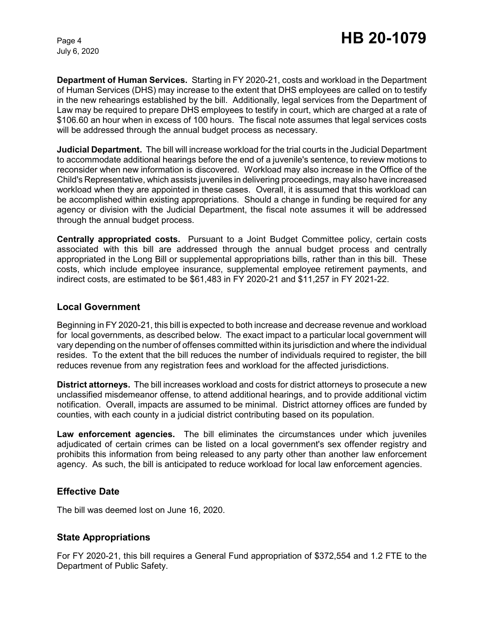**Department of Human Services.** Starting in FY 2020-21, costs and workload in the Department of Human Services (DHS) may increase to the extent that DHS employees are called on to testify in the new rehearings established by the bill. Additionally, legal services from the Department of Law may be required to prepare DHS employees to testify in court, which are charged at a rate of \$106.60 an hour when in excess of 100 hours. The fiscal note assumes that legal services costs will be addressed through the annual budget process as necessary.

**Judicial Department.** The bill will increase workload for the trial courts in the Judicial Department to accommodate additional hearings before the end of a juvenile's sentence, to review motions to reconsider when new information is discovered. Workload may also increase in the Office of the Child's Representative, which assists juveniles in delivering proceedings, may also have increased workload when they are appointed in these cases. Overall, it is assumed that this workload can be accomplished within existing appropriations. Should a change in funding be required for any agency or division with the Judicial Department, the fiscal note assumes it will be addressed through the annual budget process.

**Centrally appropriated costs.** Pursuant to a Joint Budget Committee policy, certain costs associated with this bill are addressed through the annual budget process and centrally appropriated in the Long Bill or supplemental appropriations bills, rather than in this bill. These costs, which include employee insurance, supplemental employee retirement payments, and indirect costs, are estimated to be \$61,483 in FY 2020-21 and \$11,257 in FY 2021-22.

#### **Local Government**

Beginning in FY 2020-21, this bill is expected to both increase and decrease revenue and workload for local governments, as described below. The exact impact to a particular local government will vary depending on the number of offenses committed within its jurisdiction and where the individual resides. To the extent that the bill reduces the number of individuals required to register, the bill reduces revenue from any registration fees and workload for the affected jurisdictions.

**District attorneys.** The bill increases workload and costs for district attorneys to prosecute a new unclassified misdemeanor offense, to attend additional hearings, and to provide additional victim notification. Overall, impacts are assumed to be minimal. District attorney offices are funded by counties, with each county in a judicial district contributing based on its population.

**Law enforcement agencies.** The bill eliminates the circumstances under which juveniles adjudicated of certain crimes can be listed on a local government's sex offender registry and prohibits this information from being released to any party other than another law enforcement agency. As such, the bill is anticipated to reduce workload for local law enforcement agencies.

### **Effective Date**

The bill was deemed lost on June 16, 2020.

## **State Appropriations**

For FY 2020-21, this bill requires a General Fund appropriation of \$372,554 and 1.2 FTE to the Department of Public Safety.